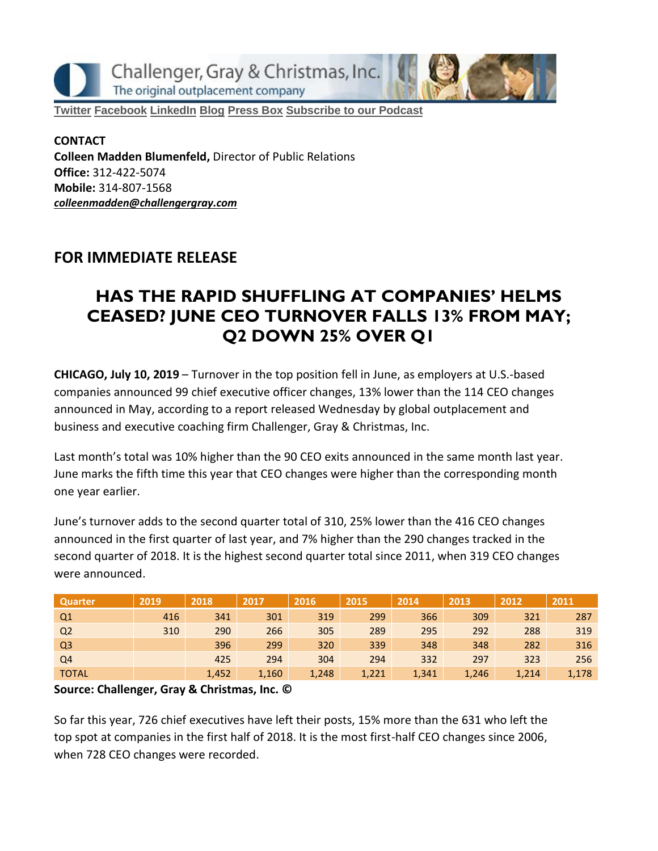

**[Twitter](https://twitter.com/#!/ChallengerGray) [Facebook](https://www.facebook.com/ChallengerGray) [LinkedIn](http://www.linkedin.com/company/28264?trk=tyah) [Blog](http://www.challengergray.com/press/blog) [Press](http://www.challengergray.com/press/press-releases) Box [Subscribe](https://itunes.apple.com/us/podcast/challenger-podcast-hr-passport/id1155541697?mt=2) to our Podcast**

**CONTACT Colleen Madden Blumenfeld,** Director of Public Relations **Office:** 312-422-5074 **Mobile:** 314-807-1568 *[colleenmadden@challengergray.com](mailto:colleenmadden@challengergray.com)*

### **FOR IMMEDIATE RELEASE**

# **HAS THE RAPID SHUFFLING AT COMPANIES' HELMS CEASED? JUNE CEO TURNOVER FALLS 13% FROM MAY; Q2 DOWN 25% OVER Q1**

**CHICAGO, July 10, 2019** – Turnover in the top position fell in June, as employers at U.S.-based companies announced 99 chief executive officer changes, 13% lower than the 114 CEO changes announced in May, according to a report released Wednesday by global outplacement and business and executive coaching firm Challenger, Gray & Christmas, Inc.

Last month's total was 10% higher than the 90 CEO exits announced in the same month last year. June marks the fifth time this year that CEO changes were higher than the corresponding month one year earlier.

June's turnover adds to the second quarter total of 310, 25% lower than the 416 CEO changes announced in the first quarter of last year, and 7% higher than the 290 changes tracked in the second quarter of 2018. It is the highest second quarter total since 2011, when 319 CEO changes were announced.

| Quarter        | 2019 | 2018  | 2017  | 2016  | 2015  | 2014  | 2013  | 2012  | 2011  |
|----------------|------|-------|-------|-------|-------|-------|-------|-------|-------|
| Q <sub>1</sub> | 416  | 341   | 301   | 319   | 299   | 366   | 309   | 321   | 287   |
| Q <sub>2</sub> | 310  | 290   | 266   | 305   | 289   | 295   | 292   | 288   | 319   |
| Q <sub>3</sub> |      | 396   | 299   | 320   | 339   | 348   | 348   | 282   | 316   |
| Q4             |      | 425   | 294   | 304   | 294   | 332   | 297   | 323   | 256   |
| <b>TOTAL</b>   |      | 1,452 | 1,160 | 1,248 | 1,221 | 1,341 | 1,246 | 1,214 | 1,178 |

#### **Source: Challenger, Gray & Christmas, Inc. ©**

So far this year, 726 chief executives have left their posts, 15% more than the 631 who left the top spot at companies in the first half of 2018. It is the most first-half CEO changes since 2006, when 728 CEO changes were recorded.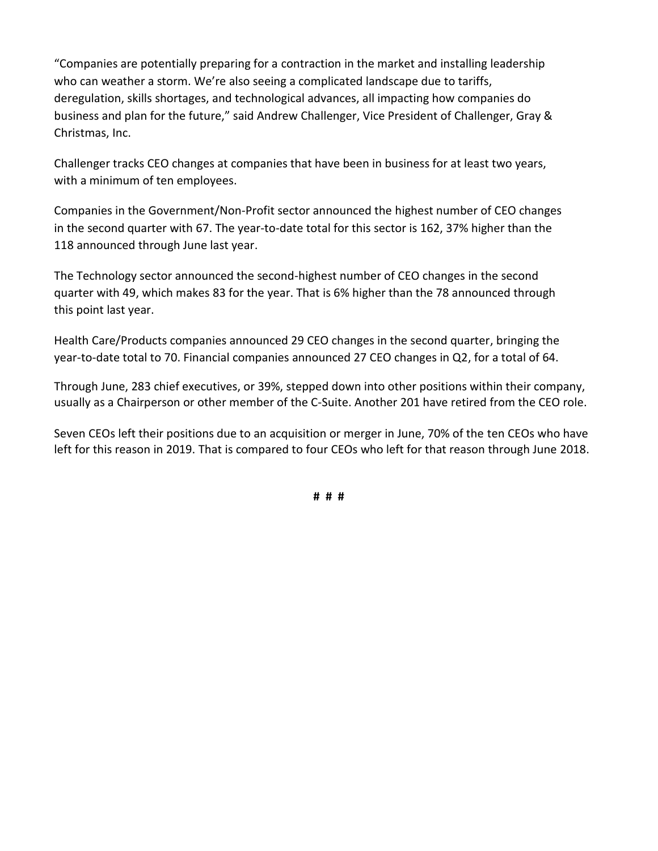"Companies are potentially preparing for a contraction in the market and installing leadership who can weather a storm. We're also seeing a complicated landscape due to tariffs, deregulation, skills shortages, and technological advances, all impacting how companies do business and plan for the future," said Andrew Challenger, Vice President of Challenger, Gray & Christmas, Inc.

Challenger tracks CEO changes at companies that have been in business for at least two years, with a minimum of ten employees.

Companies in the Government/Non-Profit sector announced the highest number of CEO changes in the second quarter with 67. The year-to-date total for this sector is 162, 37% higher than the 118 announced through June last year.

The Technology sector announced the second-highest number of CEO changes in the second quarter with 49, which makes 83 for the year. That is 6% higher than the 78 announced through this point last year.

Health Care/Products companies announced 29 CEO changes in the second quarter, bringing the year-to-date total to 70. Financial companies announced 27 CEO changes in Q2, for a total of 64.

Through June, 283 chief executives, or 39%, stepped down into other positions within their company, usually as a Chairperson or other member of the C-Suite. Another 201 have retired from the CEO role.

Seven CEOs left their positions due to an acquisition or merger in June, 70% of the ten CEOs who have left for this reason in 2019. That is compared to four CEOs who left for that reason through June 2018.

**# # #**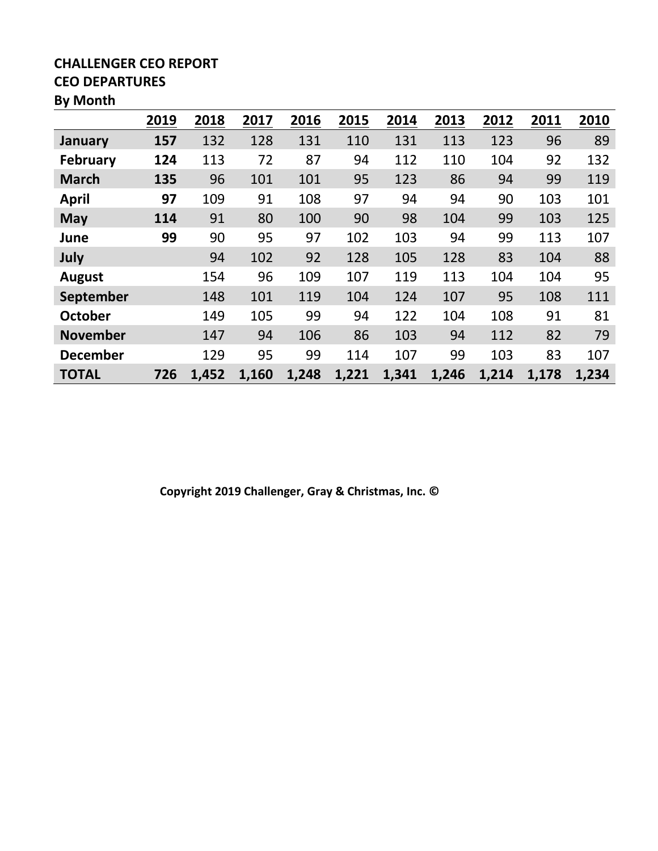### **CHALLENGER CEO REPORT CEO DEPARTURES**

#### **By Month**

|                 | 2019 | 2018  | 2017  | 2016  | 2015  | 2014  | 2013  | 2012  | 2011  | 2010  |
|-----------------|------|-------|-------|-------|-------|-------|-------|-------|-------|-------|
| January         | 157  | 132   | 128   | 131   | 110   | 131   | 113   | 123   | 96    | 89    |
| <b>February</b> | 124  | 113   | 72    | 87    | 94    | 112   | 110   | 104   | 92    | 132   |
| <b>March</b>    | 135  | 96    | 101   | 101   | 95    | 123   | 86    | 94    | 99    | 119   |
| <b>April</b>    | 97   | 109   | 91    | 108   | 97    | 94    | 94    | 90    | 103   | 101   |
| <b>May</b>      | 114  | 91    | 80    | 100   | 90    | 98    | 104   | 99    | 103   | 125   |
| June            | 99   | 90    | 95    | 97    | 102   | 103   | 94    | 99    | 113   | 107   |
| July            |      | 94    | 102   | 92    | 128   | 105   | 128   | 83    | 104   | 88    |
| <b>August</b>   |      | 154   | 96    | 109   | 107   | 119   | 113   | 104   | 104   | 95    |
| September       |      | 148   | 101   | 119   | 104   | 124   | 107   | 95    | 108   | 111   |
| <b>October</b>  |      | 149   | 105   | 99    | 94    | 122   | 104   | 108   | 91    | 81    |
| <b>November</b> |      | 147   | 94    | 106   | 86    | 103   | 94    | 112   | 82    | 79    |
| <b>December</b> |      | 129   | 95    | 99    | 114   | 107   | 99    | 103   | 83    | 107   |
| <b>TOTAL</b>    | 726  | 1,452 | 1,160 | 1,248 | 1,221 | 1,341 | 1,246 | 1,214 | 1,178 | 1,234 |

**Copyright 2019 Challenger, Gray & Christmas, Inc. ©**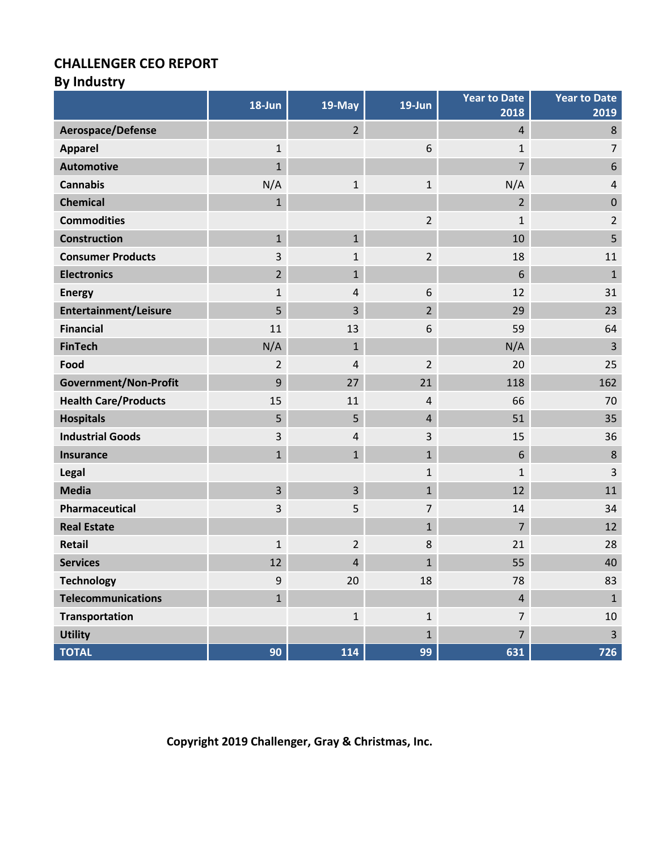### **CHALLENGER CEO REPORT**

# **By Industry**

|                              | 18-Jun           | 19-May         | $19$ -Jun      | <b>Year to Date</b><br>2018 | <b>Year to Date</b><br>2019 |
|------------------------------|------------------|----------------|----------------|-----------------------------|-----------------------------|
| Aerospace/Defense            |                  | 2 <sup>1</sup> |                | 4                           | $\,8$                       |
| <b>Apparel</b>               | $\mathbf{1}$     |                | 6              | $\mathbf{1}$                | $\overline{7}$              |
| <b>Automotive</b>            | $\mathbf{1}$     |                |                | $\overline{7}$              | $\boldsymbol{6}$            |
| <b>Cannabis</b>              | N/A              | $\mathbf{1}$   | $\mathbf{1}$   | N/A                         | $\overline{4}$              |
| <b>Chemical</b>              | $\mathbf{1}$     |                |                | $\overline{2}$              | $\mathbf 0$                 |
| <b>Commodities</b>           |                  |                | $\overline{2}$ | $\mathbf{1}$                | $\overline{2}$              |
| <b>Construction</b>          | $\mathbf{1}$     | $\mathbf{1}$   |                | 10                          | 5                           |
| <b>Consumer Products</b>     | 3                | 1              | $\overline{2}$ | 18                          | 11                          |
| <b>Electronics</b>           | $\overline{2}$   | $\mathbf{1}$   |                | 6                           | $\mathbf{1}$                |
| <b>Energy</b>                | $\mathbf 1$      | 4              | 6              | 12                          | 31                          |
| <b>Entertainment/Leisure</b> | 5                | 3              | $\overline{2}$ | 29                          | 23                          |
| <b>Financial</b>             | 11               | 13             | 6              | 59                          | 64                          |
| <b>FinTech</b>               | N/A              | $\mathbf{1}$   |                | N/A                         | $\overline{3}$              |
| Food                         | $\overline{2}$   | 4              | $\overline{2}$ | 20                          | 25                          |
| <b>Government/Non-Profit</b> | 9                | 27             | 21             | 118                         | 162                         |
| <b>Health Care/Products</b>  | 15               | 11             | $\sqrt{4}$     | 66                          | 70                          |
| <b>Hospitals</b>             | 5                | 5              | $\overline{4}$ | 51                          | 35                          |
| <b>Industrial Goods</b>      | 3                | 4              | 3              | 15                          | 36                          |
| <b>Insurance</b>             | $\mathbf{1}$     | $\mathbf{1}$   | $\mathbf{1}$   | 6                           | 8                           |
| Legal                        |                  |                | $\mathbf{1}$   | $\mathbf 1$                 | 3                           |
| <b>Media</b>                 | 3                | 3              | $\mathbf{1}$   | 12                          | 11                          |
| Pharmaceutical               | 3                | 5              | $\overline{7}$ | 14                          | 34                          |
| <b>Real Estate</b>           |                  |                | $\mathbf{1}$   | $\overline{7}$              | 12                          |
| Retail                       | $\mathbf 1$      | $\overline{2}$ | 8              | 21                          | 28                          |
| <b>Services</b>              | 12               | 4              | $\mathbf{1}$   | 55                          | 40                          |
| <b>Technology</b>            | $\boldsymbol{9}$ | 20             | 18             | 78                          | 83                          |
| <b>Telecommunications</b>    | $\mathbf{1}$     |                |                | $\overline{4}$              | $\mathbf{1}$                |
| <b>Transportation</b>        |                  | $\mathbf{1}$   | $\mathbf 1$    | $\overline{7}$              | 10                          |
| <b>Utility</b>               |                  |                | $\mathbf{1}$   | $\overline{7}$              | $\overline{3}$              |
| <b>TOTAL</b>                 | 90               | 114            | 99             | 631                         | 726                         |

**Copyright 2019 Challenger, Gray & Christmas, Inc.**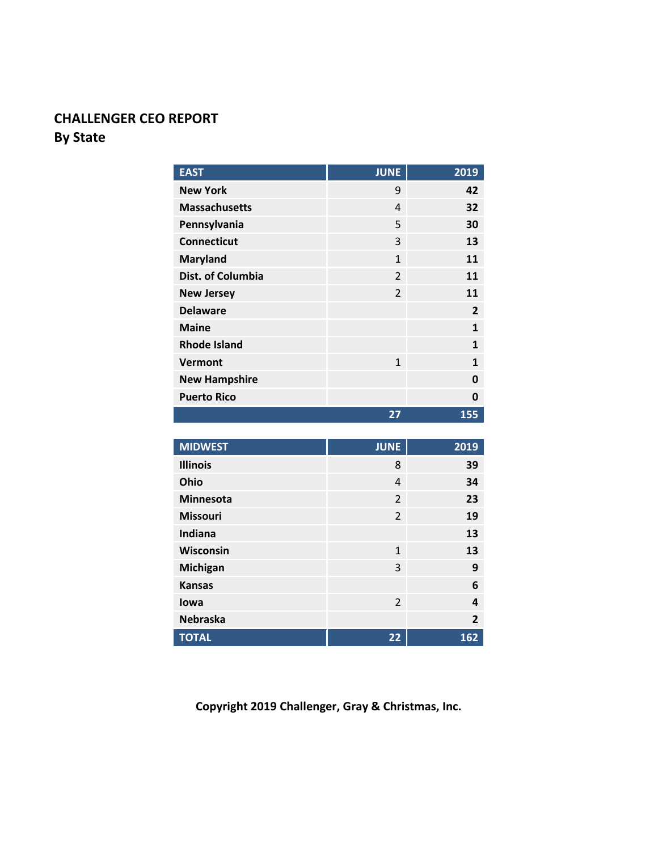## **CHALLENGER CEO REPORT By State**

| <b>EAST</b>          | <b>JUNE</b>    | 2019           |
|----------------------|----------------|----------------|
| <b>New York</b>      | 9              | 42             |
| <b>Massachusetts</b> | 4              | 32             |
| Pennsylvania         | 5              | 30             |
| <b>Connecticut</b>   | 3              | 13             |
| <b>Maryland</b>      | $\mathbf{1}$   | 11             |
| Dist. of Columbia    | $\overline{2}$ | 11             |
| <b>New Jersey</b>    | $\overline{2}$ | 11             |
| <b>Delaware</b>      |                | $\overline{2}$ |
| <b>Maine</b>         |                | 1              |
| <b>Rhode Island</b>  |                | 1              |
| <b>Vermont</b>       | $\mathbf{1}$   | 1              |
| <b>New Hampshire</b> |                | 0              |
| <b>Puerto Rico</b>   |                | 0              |
|                      | 27             | 155            |

| <b>MIDWEST</b>   | <b>JUNE</b>    | 2019           |
|------------------|----------------|----------------|
| <b>Illinois</b>  | 8              | 39             |
| Ohio             | 4              | 34             |
| <b>Minnesota</b> | $\overline{2}$ | 23             |
| <b>Missouri</b>  | $\overline{2}$ | 19             |
| Indiana          |                | 13             |
| Wisconsin        | $\mathbf{1}$   | 13             |
| Michigan         | 3              | 9              |
| <b>Kansas</b>    |                | 6              |
| lowa             | $\overline{2}$ | 4              |
| <b>Nebraska</b>  |                | $\overline{2}$ |
| <b>TOTAL</b>     | 22             | 162            |

**Copyright 2019 Challenger, Gray & Christmas, Inc.**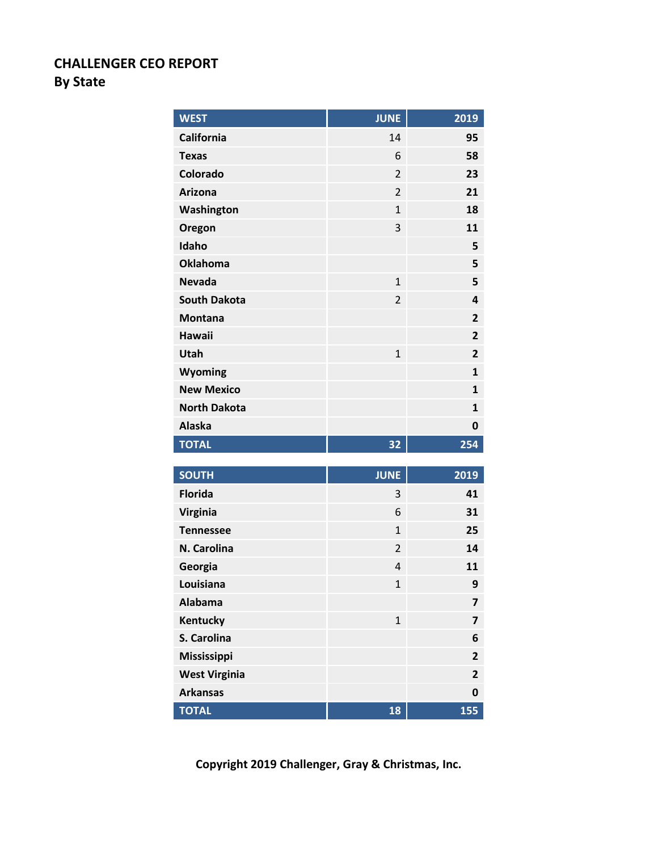### **CHALLENGER CEO REPORT By State**

| <b>WEST</b>         | <b>JUNE</b>    | 2019                    |
|---------------------|----------------|-------------------------|
| <b>California</b>   | 14             | 95                      |
| <b>Texas</b>        | 6              | 58                      |
| Colorado            | $\overline{2}$ | 23                      |
| <b>Arizona</b>      | $\overline{2}$ | 21                      |
| Washington          | $\mathbf{1}$   | 18                      |
| Oregon              | 3              | 11                      |
| Idaho               |                | 5                       |
| <b>Oklahoma</b>     |                | 5                       |
| <b>Nevada</b>       | $\mathbf{1}$   | 5                       |
| <b>South Dakota</b> | $\overline{2}$ | 4                       |
| <b>Montana</b>      |                | $\overline{2}$          |
| <b>Hawaii</b>       |                | $\overline{2}$          |
| Utah                | $\mathbf{1}$   | $\overline{\mathbf{2}}$ |
| Wyoming             |                | $\mathbf{1}$            |
| <b>New Mexico</b>   |                | $\mathbf{1}$            |
| <b>North Dakota</b> |                | $\mathbf{1}$            |
| <b>Alaska</b>       |                | 0                       |
| <b>TOTAL</b>        | 32             | 254                     |
| <b>SOUTH</b>        | <b>JUNE</b>    | 2019                    |
| <b>Florida</b>      | 3              | 41                      |
| <b>Virginia</b>     | 6              | 31                      |
| <b>Tennessee</b>    | $\mathbf{1}$   | 25                      |
| N. Carolina         | $\overline{2}$ | 14                      |
| Georgia             | $\overline{4}$ | 11                      |
| Louisiana           | $\mathbf{1}$   | 9                       |
| <b>Alabama</b>      |                | 7                       |
| <b>Kentucky</b>     | $\mathbf{1}$   | 7                       |
| S. Carolina         |                | 6                       |
| <b>Mississippi</b>  |                | $\overline{2}$          |

**Copyright 2019 Challenger, Gray & Christmas, Inc.**

**West Virginia 2 Arkansas 0 TOTAL 18 155**